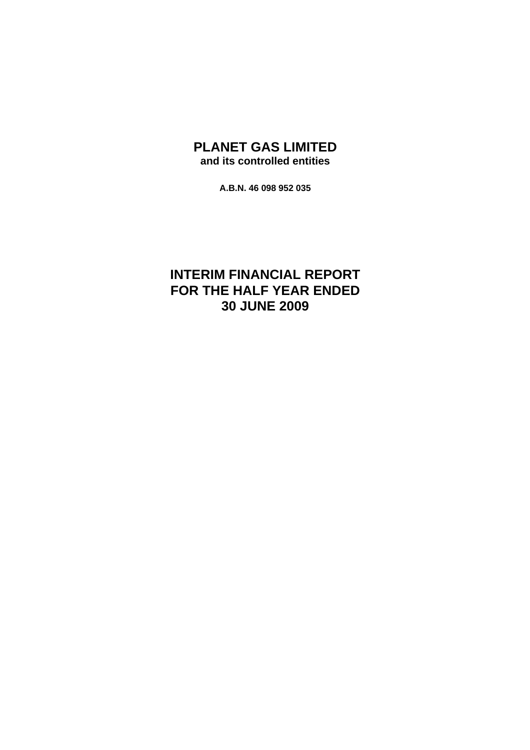## **PLANET GAS LIMITED and its controlled entities**

**A.B.N. 46 098 952 035** 

# **INTERIM FINANCIAL REPORT FOR THE HALF YEAR ENDED 30 JUNE 2009**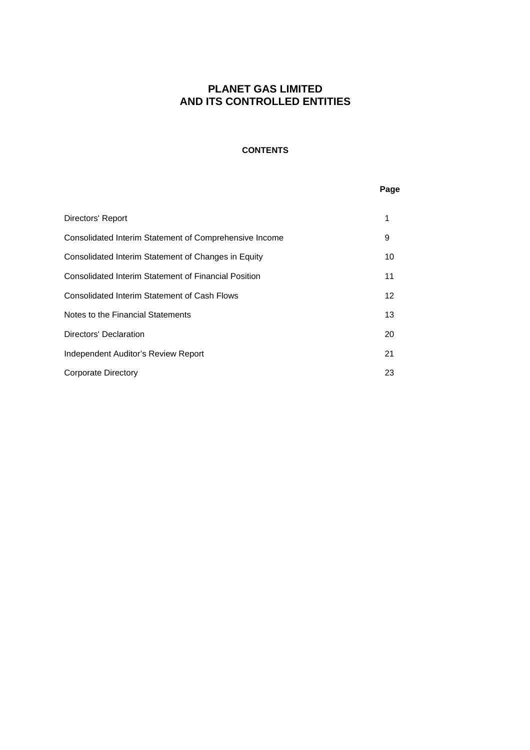### **CONTENTS**

### **Page**

| Directors' Report                                      | 1  |
|--------------------------------------------------------|----|
| Consolidated Interim Statement of Comprehensive Income | 9  |
| Consolidated Interim Statement of Changes in Equity    | 10 |
| Consolidated Interim Statement of Financial Position   | 11 |
| Consolidated Interim Statement of Cash Flows           | 12 |
| Notes to the Financial Statements                      | 13 |
| Directors' Declaration                                 | 20 |
| Independent Auditor's Review Report                    | 21 |
| <b>Corporate Directory</b>                             | 23 |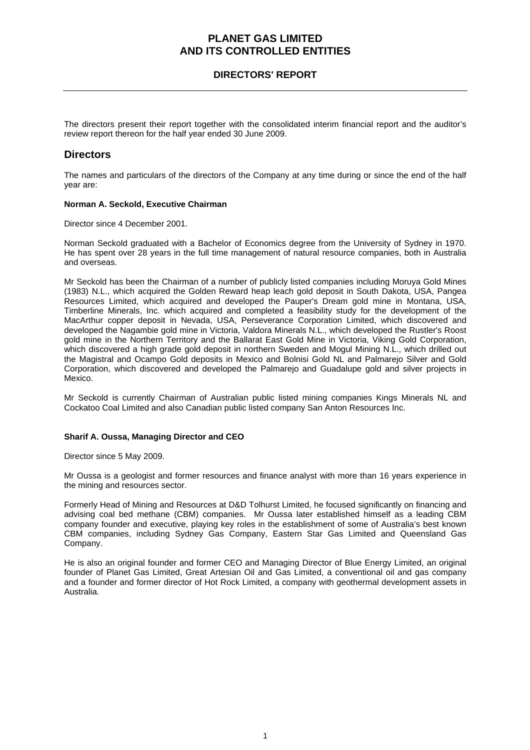### **DIRECTORS' REPORT**

The directors present their report together with the consolidated interim financial report and the auditor's review report thereon for the half year ended 30 June 2009.

### **Directors**

The names and particulars of the directors of the Company at any time during or since the end of the half year are:

### **Norman A. Seckold, Executive Chairman**

Director since 4 December 2001.

Norman Seckold graduated with a Bachelor of Economics degree from the University of Sydney in 1970. He has spent over 28 years in the full time management of natural resource companies, both in Australia and overseas.

Mr Seckold has been the Chairman of a number of publicly listed companies including Moruya Gold Mines (1983) N.L., which acquired the Golden Reward heap leach gold deposit in South Dakota, USA, Pangea Resources Limited, which acquired and developed the Pauper's Dream gold mine in Montana, USA, Timberline Minerals, Inc. which acquired and completed a feasibility study for the development of the MacArthur copper deposit in Nevada, USA, Perseverance Corporation Limited, which discovered and developed the Nagambie gold mine in Victoria, Valdora Minerals N.L., which developed the Rustler's Roost gold mine in the Northern Territory and the Ballarat East Gold Mine in Victoria, Viking Gold Corporation, which discovered a high grade gold deposit in northern Sweden and Mogul Mining N.L., which drilled out the Magistral and Ocampo Gold deposits in Mexico and Bolnisi Gold NL and Palmarejo Silver and Gold Corporation, which discovered and developed the Palmarejo and Guadalupe gold and silver projects in Mexico.

Mr Seckold is currently Chairman of Australian public listed mining companies Kings Minerals NL and Cockatoo Coal Limited and also Canadian public listed company San Anton Resources Inc.

### **Sharif A. Oussa, Managing Director and CEO**

Director since 5 May 2009.

Mr Oussa is a geologist and former resources and finance analyst with more than 16 years experience in the mining and resources sector.

Formerly Head of Mining and Resources at D&D Tolhurst Limited, he focused significantly on financing and advising coal bed methane (CBM) companies. Mr Oussa later established himself as a leading CBM company founder and executive, playing key roles in the establishment of some of Australia's best known CBM companies, including Sydney Gas Company, Eastern Star Gas Limited and Queensland Gas Company.

He is also an original founder and former CEO and Managing Director of Blue Energy Limited, an original founder of Planet Gas Limited, Great Artesian Oil and Gas Limited, a conventional oil and gas company and a founder and former director of Hot Rock Limited, a company with geothermal development assets in Australia.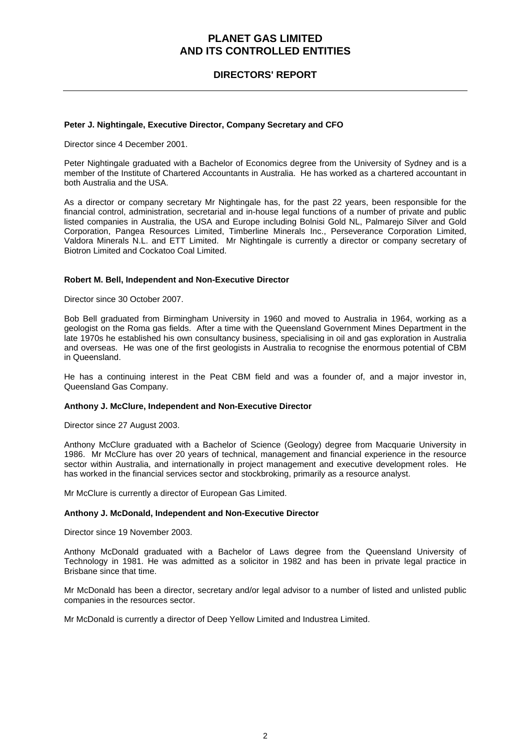### **DIRECTORS' REPORT**

#### **Peter J. Nightingale, Executive Director, Company Secretary and CFO**

Director since 4 December 2001.

Peter Nightingale graduated with a Bachelor of Economics degree from the University of Sydney and is a member of the Institute of Chartered Accountants in Australia. He has worked as a chartered accountant in both Australia and the USA.

As a director or company secretary Mr Nightingale has, for the past 22 years, been responsible for the financial control, administration, secretarial and in-house legal functions of a number of private and public listed companies in Australia, the USA and Europe including Bolnisi Gold NL, Palmarejo Silver and Gold Corporation, Pangea Resources Limited, Timberline Minerals Inc., Perseverance Corporation Limited, Valdora Minerals N.L. and ETT Limited. Mr Nightingale is currently a director or company secretary of Biotron Limited and Cockatoo Coal Limited.

#### **Robert M. Bell, Independent and Non-Executive Director**

Director since 30 October 2007.

Bob Bell graduated from Birmingham University in 1960 and moved to Australia in 1964, working as a geologist on the Roma gas fields. After a time with the Queensland Government Mines Department in the late 1970s he established his own consultancy business, specialising in oil and gas exploration in Australia and overseas. He was one of the first geologists in Australia to recognise the enormous potential of CBM in Queensland.

He has a continuing interest in the Peat CBM field and was a founder of, and a major investor in, Queensland Gas Company.

#### **Anthony J. McClure, Independent and Non-Executive Director**

Director since 27 August 2003.

Anthony McClure graduated with a Bachelor of Science (Geology) degree from Macquarie University in 1986. Mr McClure has over 20 years of technical, management and financial experience in the resource sector within Australia, and internationally in project management and executive development roles. He has worked in the financial services sector and stockbroking, primarily as a resource analyst.

Mr McClure is currently a director of European Gas Limited.

#### **Anthony J. McDonald, Independent and Non-Executive Director**

Director since 19 November 2003.

Anthony McDonald graduated with a Bachelor of Laws degree from the Queensland University of Technology in 1981. He was admitted as a solicitor in 1982 and has been in private legal practice in Brisbane since that time.

Mr McDonald has been a director, secretary and/or legal advisor to a number of listed and unlisted public companies in the resources sector.

Mr McDonald is currently a director of Deep Yellow Limited and Industrea Limited.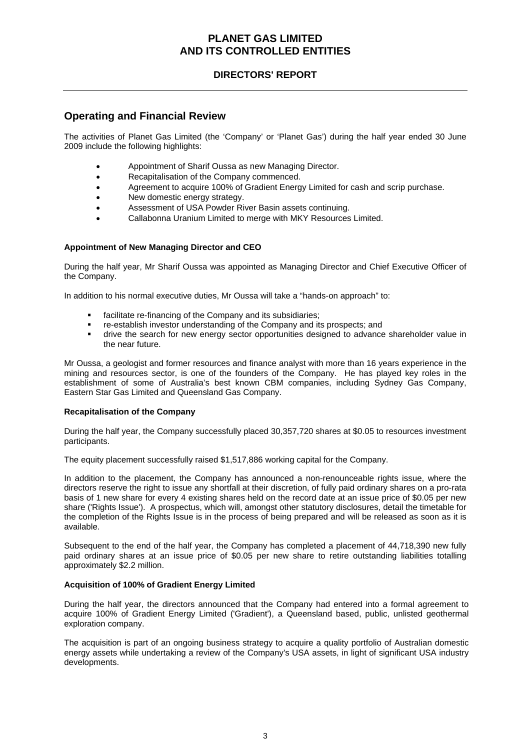### **DIRECTORS' REPORT**

### **Operating and Financial Review**

The activities of Planet Gas Limited (the 'Company' or 'Planet Gas') during the half year ended 30 June 2009 include the following highlights:

- Appointment of Sharif Oussa as new Managing Director.
- Recapitalisation of the Company commenced.
- Agreement to acquire 100% of Gradient Energy Limited for cash and scrip purchase.
- New domestic energy strategy.
- Assessment of USA Powder River Basin assets continuing.
- Callabonna Uranium Limited to merge with MKY Resources Limited.

### **Appointment of New Managing Director and CEO**

During the half year, Mr Sharif Oussa was appointed as Managing Director and Chief Executive Officer of the Company.

In addition to his normal executive duties, Mr Oussa will take a "hands-on approach" to:

- facilitate re-financing of the Company and its subsidiaries;
- re-establish investor understanding of the Company and its prospects; and
- drive the search for new energy sector opportunities designed to advance shareholder value in the near future.

Mr Oussa, a geologist and former resources and finance analyst with more than 16 years experience in the mining and resources sector, is one of the founders of the Company. He has played key roles in the establishment of some of Australia's best known CBM companies, including Sydney Gas Company, Eastern Star Gas Limited and Queensland Gas Company.

### **Recapitalisation of the Company**

During the half year, the Company successfully placed 30,357,720 shares at \$0.05 to resources investment participants.

The equity placement successfully raised \$1,517,886 working capital for the Company.

In addition to the placement, the Company has announced a non-renounceable rights issue, where the directors reserve the right to issue any shortfall at their discretion, of fully paid ordinary shares on a pro-rata basis of 1 new share for every 4 existing shares held on the record date at an issue price of \$0.05 per new share ('Rights Issue'). A prospectus, which will, amongst other statutory disclosures, detail the timetable for the completion of the Rights Issue is in the process of being prepared and will be released as soon as it is available.

Subsequent to the end of the half year, the Company has completed a placement of 44,718,390 new fully paid ordinary shares at an issue price of \$0.05 per new share to retire outstanding liabilities totalling approximately \$2.2 million.

### **Acquisition of 100% of Gradient Energy Limited**

During the half year, the directors announced that the Company had entered into a formal agreement to acquire 100% of Gradient Energy Limited ('Gradient'), a Queensland based, public, unlisted geothermal exploration company.

The acquisition is part of an ongoing business strategy to acquire a quality portfolio of Australian domestic energy assets while undertaking a review of the Company's USA assets, in light of significant USA industry developments.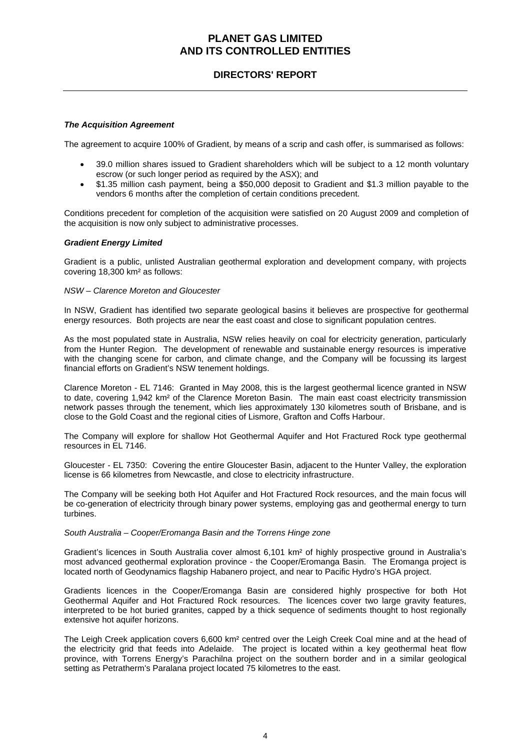### **DIRECTORS' REPORT**

### *The Acquisition Agreement*

The agreement to acquire 100% of Gradient, by means of a scrip and cash offer, is summarised as follows:

- 39.0 million shares issued to Gradient shareholders which will be subject to a 12 month voluntary escrow (or such longer period as required by the ASX); and
- \$1.35 million cash payment, being a \$50,000 deposit to Gradient and \$1.3 million payable to the vendors 6 months after the completion of certain conditions precedent.

Conditions precedent for completion of the acquisition were satisfied on 20 August 2009 and completion of the acquisition is now only subject to administrative processes.

#### *Gradient Energy Limited*

Gradient is a public, unlisted Australian geothermal exploration and development company, with projects covering 18,300 km² as follows:

### *NSW – Clarence Moreton and Gloucester*

In NSW, Gradient has identified two separate geological basins it believes are prospective for geothermal energy resources. Both projects are near the east coast and close to significant population centres.

As the most populated state in Australia, NSW relies heavily on coal for electricity generation, particularly from the Hunter Region. The development of renewable and sustainable energy resources is imperative with the changing scene for carbon, and climate change, and the Company will be focussing its largest financial efforts on Gradient's NSW tenement holdings.

Clarence Moreton - EL 7146: Granted in May 2008, this is the largest geothermal licence granted in NSW to date, covering 1,942 km² of the Clarence Moreton Basin. The main east coast electricity transmission network passes through the tenement, which lies approximately 130 kilometres south of Brisbane, and is close to the Gold Coast and the regional cities of Lismore, Grafton and Coffs Harbour.

The Company will explore for shallow Hot Geothermal Aquifer and Hot Fractured Rock type geothermal resources in EL 7146.

Gloucester - EL 7350: Covering the entire Gloucester Basin, adjacent to the Hunter Valley, the exploration license is 66 kilometres from Newcastle, and close to electricity infrastructure.

The Company will be seeking both Hot Aquifer and Hot Fractured Rock resources, and the main focus will be co-generation of electricity through binary power systems, employing gas and geothermal energy to turn turbines.

#### *South Australia – Cooper/Eromanga Basin and the Torrens Hinge zone*

Gradient's licences in South Australia cover almost 6,101 km² of highly prospective ground in Australia's most advanced geothermal exploration province - the Cooper/Eromanga Basin. The Eromanga project is located north of Geodynamics flagship Habanero project, and near to Pacific Hydro's HGA project.

Gradients licences in the Cooper/Eromanga Basin are considered highly prospective for both Hot Geothermal Aquifer and Hot Fractured Rock resources. The licences cover two large gravity features, interpreted to be hot buried granites, capped by a thick sequence of sediments thought to host regionally extensive hot aquifer horizons.

The Leigh Creek application covers 6,600 km² centred over the Leigh Creek Coal mine and at the head of the electricity grid that feeds into Adelaide. The project is located within a key geothermal heat flow province, with Torrens Energy's Parachilna project on the southern border and in a similar geological setting as Petratherm's Paralana project located 75 kilometres to the east.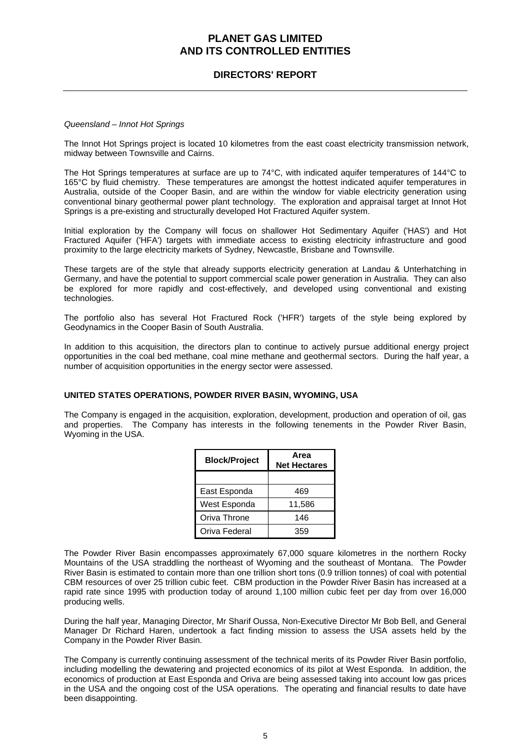### **DIRECTORS' REPORT**

#### *Queensland – Innot Hot Springs*

The Innot Hot Springs project is located 10 kilometres from the east coast electricity transmission network, midway between Townsville and Cairns.

The Hot Springs temperatures at surface are up to 74°C, with indicated aquifer temperatures of 144°C to 165°C by fluid chemistry. These temperatures are amongst the hottest indicated aquifer temperatures in Australia, outside of the Cooper Basin, and are within the window for viable electricity generation using conventional binary geothermal power plant technology. The exploration and appraisal target at Innot Hot Springs is a pre-existing and structurally developed Hot Fractured Aquifer system.

Initial exploration by the Company will focus on shallower Hot Sedimentary Aquifer ('HAS') and Hot Fractured Aquifer ('HFA') targets with immediate access to existing electricity infrastructure and good proximity to the large electricity markets of Sydney, Newcastle, Brisbane and Townsville.

These targets are of the style that already supports electricity generation at Landau & Unterhatching in Germany, and have the potential to support commercial scale power generation in Australia. They can also be explored for more rapidly and cost-effectively, and developed using conventional and existing technologies.

The portfolio also has several Hot Fractured Rock ('HFR') targets of the style being explored by Geodynamics in the Cooper Basin of South Australia.

In addition to this acquisition, the directors plan to continue to actively pursue additional energy project opportunities in the coal bed methane, coal mine methane and geothermal sectors. During the half year, a number of acquisition opportunities in the energy sector were assessed.

### **UNITED STATES OPERATIONS, POWDER RIVER BASIN, WYOMING, USA**

The Company is engaged in the acquisition, exploration, development, production and operation of oil, gas and properties. The Company has interests in the following tenements in the Powder River Basin, Wyoming in the USA.

| <b>Block/Project</b> | Area<br><b>Net Hectares</b> |
|----------------------|-----------------------------|
|                      |                             |
| East Esponda         | 469                         |
| West Esponda         | 11,586                      |
| Oriva Throne         | 146                         |
| Oriva Federal        | 359                         |

The Powder River Basin encompasses approximately 67,000 square kilometres in the northern Rocky Mountains of the USA straddling the northeast of Wyoming and the southeast of Montana. The Powder River Basin is estimated to contain more than one trillion short tons (0.9 trillion tonnes) of coal with potential CBM resources of over 25 trillion cubic feet. CBM production in the Powder River Basin has increased at a rapid rate since 1995 with production today of around 1,100 million cubic feet per day from over 16,000 producing wells.

During the half year, Managing Director, Mr Sharif Oussa, Non-Executive Director Mr Bob Bell, and General Manager Dr Richard Haren, undertook a fact finding mission to assess the USA assets held by the Company in the Powder River Basin.

The Company is currently continuing assessment of the technical merits of its Powder River Basin portfolio, including modelling the dewatering and projected economics of its pilot at West Esponda. In addition, the economics of production at East Esponda and Oriva are being assessed taking into account low gas prices in the USA and the ongoing cost of the USA operations. The operating and financial results to date have been disappointing.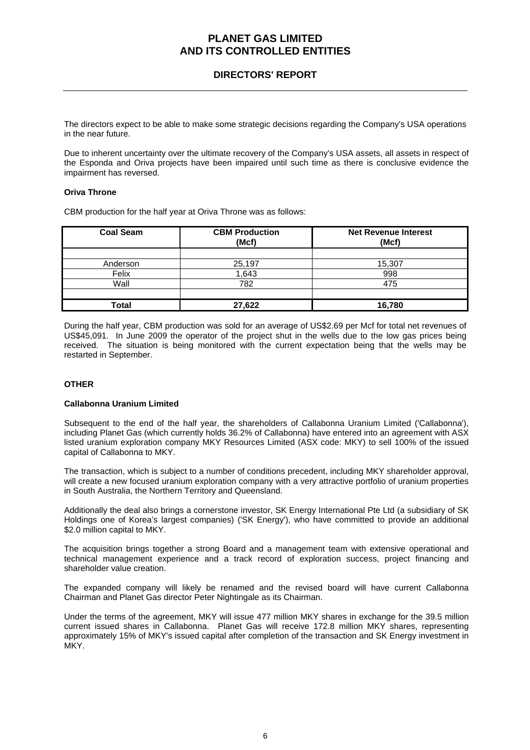### **DIRECTORS' REPORT**

The directors expect to be able to make some strategic decisions regarding the Company's USA operations in the near future.

Due to inherent uncertainty over the ultimate recovery of the Company's USA assets, all assets in respect of the Esponda and Oriva projects have been impaired until such time as there is conclusive evidence the impairment has reversed.

### **Oriva Throne**

CBM production for the half year at Oriva Throne was as follows:

| <b>Coal Seam</b> | <b>CBM Production</b><br>(Mcf) | <b>Net Revenue Interest</b><br>(Mcf) |
|------------------|--------------------------------|--------------------------------------|
|                  |                                |                                      |
| Anderson         | 25,197                         | 15,307                               |
| Felix            | 1,643                          | 998                                  |
| Wall             | 782                            | 475                                  |
|                  |                                |                                      |
| Total            | 27,622                         | 16.780                               |

During the half year, CBM production was sold for an average of US\$2.69 per Mcf for total net revenues of US\$45,091. In June 2009 the operator of the project shut in the wells due to the low gas prices being received. The situation is being monitored with the current expectation being that the wells may be restarted in September.

### **OTHER**

### **Callabonna Uranium Limited**

Subsequent to the end of the half year, the shareholders of Callabonna Uranium Limited ('Callabonna'), including Planet Gas (which currently holds 36.2% of Callabonna) have entered into an agreement with ASX listed uranium exploration company MKY Resources Limited (ASX code: MKY) to sell 100% of the issued capital of Callabonna to MKY.

The transaction, which is subject to a number of conditions precedent, including MKY shareholder approval, will create a new focused uranium exploration company with a very attractive portfolio of uranium properties in South Australia, the Northern Territory and Queensland.

Additionally the deal also brings a cornerstone investor, SK Energy International Pte Ltd (a subsidiary of SK Holdings one of Korea's largest companies) ('SK Energy'), who have committed to provide an additional \$2.0 million capital to MKY.

The acquisition brings together a strong Board and a management team with extensive operational and technical management experience and a track record of exploration success, project financing and shareholder value creation.

The expanded company will likely be renamed and the revised board will have current Callabonna Chairman and Planet Gas director Peter Nightingale as its Chairman.

Under the terms of the agreement, MKY will issue 477 million MKY shares in exchange for the 39.5 million current issued shares in Callabonna. Planet Gas will receive 172.8 million MKY shares, representing approximately 15% of MKY's issued capital after completion of the transaction and SK Energy investment in MKY.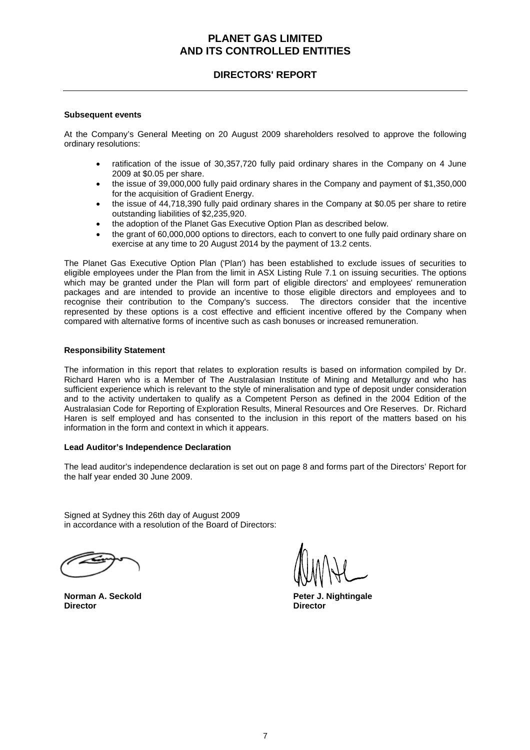### **DIRECTORS' REPORT**

#### **Subsequent events**

At the Company's General Meeting on 20 August 2009 shareholders resolved to approve the following ordinary resolutions:

- ratification of the issue of 30,357,720 fully paid ordinary shares in the Company on 4 June 2009 at \$0.05 per share.
- the issue of 39,000,000 fully paid ordinary shares in the Company and payment of \$1,350,000 for the acquisition of Gradient Energy.
- the issue of 44,718,390 fully paid ordinary shares in the Company at \$0.05 per share to retire outstanding liabilities of \$2,235,920.
- the adoption of the Planet Gas Executive Option Plan as described below.
- the grant of 60,000,000 options to directors, each to convert to one fully paid ordinary share on exercise at any time to 20 August 2014 by the payment of 13.2 cents.

The Planet Gas Executive Option Plan ('Plan') has been established to exclude issues of securities to eligible employees under the Plan from the limit in ASX Listing Rule 7.1 on issuing securities. The options which may be granted under the Plan will form part of eligible directors' and employees' remuneration packages and are intended to provide an incentive to those eligible directors and employees and to recognise their contribution to the Company's success. The directors consider that the incentive represented by these options is a cost effective and efficient incentive offered by the Company when compared with alternative forms of incentive such as cash bonuses or increased remuneration.

#### **Responsibility Statement**

The information in this report that relates to exploration results is based on information compiled by Dr. Richard Haren who is a Member of The Australasian Institute of Mining and Metallurgy and who has sufficient experience which is relevant to the style of mineralisation and type of deposit under consideration and to the activity undertaken to qualify as a Competent Person as defined in the 2004 Edition of the Australasian Code for Reporting of Exploration Results, Mineral Resources and Ore Reserves. Dr. Richard Haren is self employed and has consented to the inclusion in this report of the matters based on his information in the form and context in which it appears.

#### **Lead Auditor's Independence Declaration**

The lead auditor's independence declaration is set out on page 8 and forms part of the Directors' Report for the half year ended 30 June 2009.

Signed at Sydney this 26th day of August 2009 in accordance with a resolution of the Board of Directors:

**Director Director** 

**Norman A. Seckold Peter J. Nightingale**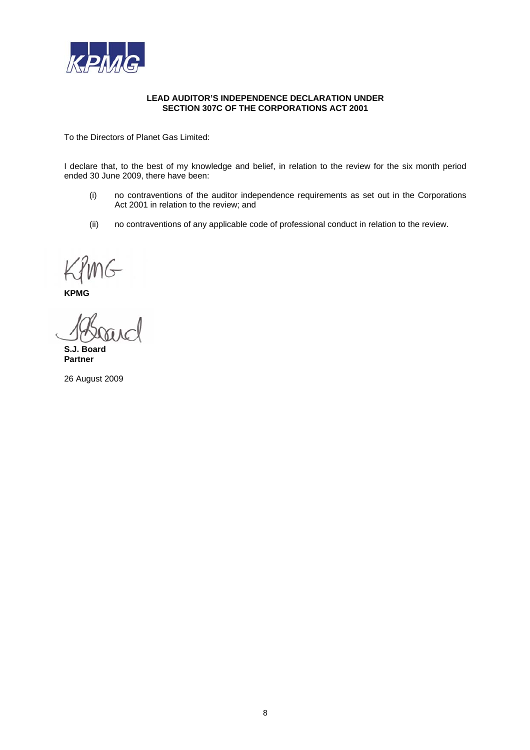

#### **LEAD AUDITOR'S INDEPENDENCE DECLARATION UNDER SECTION 307C OF THE CORPORATIONS ACT 2001**

To the Directors of Planet Gas Limited:

I declare that, to the best of my knowledge and belief, in relation to the review for the six month period ended 30 June 2009, there have been:

- (i) no contraventions of the auditor independence requirements as set out in the Corporations Act 2001 in relation to the review; and
- (ii) no contraventions of any applicable code of professional conduct in relation to the review.

**KPMG** 

**S.J. Board Partner** 

26 August 2009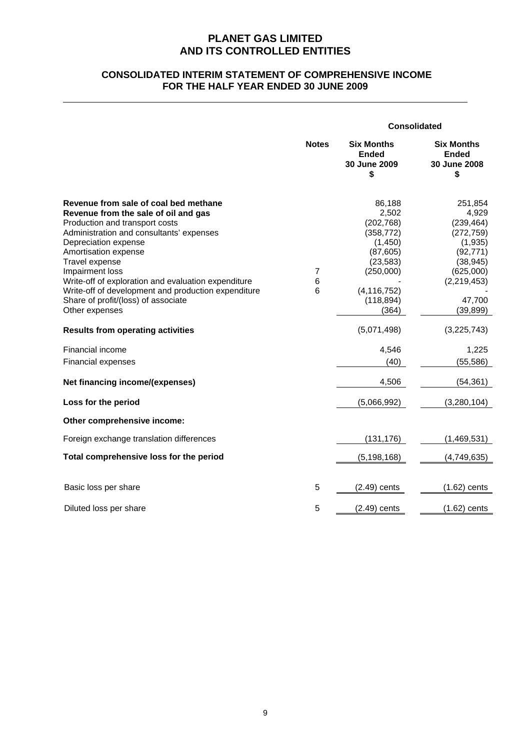### **CONSOLIDATED INTERIM STATEMENT OF COMPREHENSIVE INCOME FOR THE HALF YEAR ENDED 30 JUNE 2009**

|                                                                                                                                                                                                                                                                                                                                                                                                                                                                                                                                                                                                                                                           |              | <b>Consolidated</b>                                                                                                                                                                                         |                                                                                                                                                                                                                          |  |
|-----------------------------------------------------------------------------------------------------------------------------------------------------------------------------------------------------------------------------------------------------------------------------------------------------------------------------------------------------------------------------------------------------------------------------------------------------------------------------------------------------------------------------------------------------------------------------------------------------------------------------------------------------------|--------------|-------------------------------------------------------------------------------------------------------------------------------------------------------------------------------------------------------------|--------------------------------------------------------------------------------------------------------------------------------------------------------------------------------------------------------------------------|--|
|                                                                                                                                                                                                                                                                                                                                                                                                                                                                                                                                                                                                                                                           | <b>Notes</b> | <b>Six Months</b><br><b>Ended</b><br>30 June 2009<br>\$                                                                                                                                                     | <b>Six Months</b><br><b>Ended</b><br>30 June 2008<br>\$                                                                                                                                                                  |  |
| Revenue from sale of coal bed methane<br>Revenue from the sale of oil and gas<br>Production and transport costs<br>Administration and consultants' expenses<br>Depreciation expense<br>Amortisation expense<br>Travel expense<br>Impairment loss<br>Write-off of exploration and evaluation expenditure<br>Write-off of development and production expenditure<br>Share of profit/(loss) of associate<br>Other expenses<br><b>Results from operating activities</b><br>Financial income<br><b>Financial expenses</b><br>Net financing income/(expenses)<br>Loss for the period<br>Other comprehensive income:<br>Foreign exchange translation differences | 7<br>6<br>6  | 86,188<br>2,502<br>(202, 768)<br>(358, 772)<br>(1,450)<br>(87, 605)<br>(23, 583)<br>(250,000)<br>(4, 116, 752)<br>(118, 894)<br>(364)<br>(5,071,498)<br>4,546<br>(40)<br>4,506<br>(5,066,992)<br>(131, 176) | 251,854<br>4,929<br>(239, 464)<br>(272, 759)<br>(1,935)<br>(92, 771)<br>(38, 945)<br>(625,000)<br>(2, 219, 453)<br>47,700<br>(39, 899)<br>(3,225,743)<br>1,225<br>(55, 586)<br>(54, 361)<br>(3, 280, 104)<br>(1,469,531) |  |
| Total comprehensive loss for the period                                                                                                                                                                                                                                                                                                                                                                                                                                                                                                                                                                                                                   |              | (5, 198, 168)                                                                                                                                                                                               | (4,749,635)                                                                                                                                                                                                              |  |
| Basic loss per share                                                                                                                                                                                                                                                                                                                                                                                                                                                                                                                                                                                                                                      | 5            | $(2.49)$ cents                                                                                                                                                                                              | $(1.62)$ cents                                                                                                                                                                                                           |  |
| Diluted loss per share                                                                                                                                                                                                                                                                                                                                                                                                                                                                                                                                                                                                                                    | 5            | $(2.49)$ cents                                                                                                                                                                                              | $(1.62)$ cents                                                                                                                                                                                                           |  |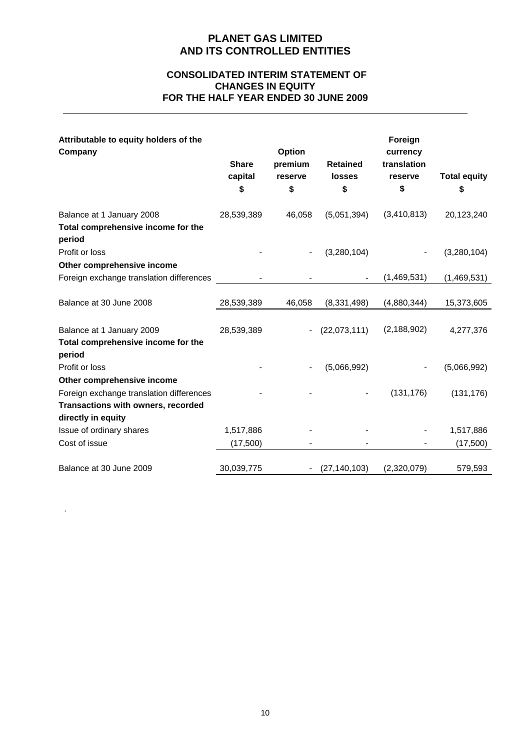### **CONSOLIDATED INTERIM STATEMENT OF CHANGES IN EQUITY FOR THE HALF YEAR ENDED 30 JUNE 2009**

| Attributable to equity holders of the<br>Company                          | <b>Share</b><br>capital<br>\$ | Option<br>premium<br>reserve<br>\$ | <b>Retained</b><br><b>losses</b><br>\$ | Foreign<br>currency<br>translation<br>reserve<br>\$ | <b>Total equity</b><br>\$ |
|---------------------------------------------------------------------------|-------------------------------|------------------------------------|----------------------------------------|-----------------------------------------------------|---------------------------|
| Balance at 1 January 2008<br>Total comprehensive income for the<br>period | 28,539,389                    | 46,058                             | (5,051,394)                            | (3,410,813)                                         | 20,123,240                |
| Profit or loss                                                            |                               |                                    | (3,280,104)                            |                                                     | (3,280,104)               |
| Other comprehensive income                                                |                               |                                    |                                        |                                                     |                           |
| Foreign exchange translation differences                                  |                               |                                    |                                        | (1,469,531)                                         | (1,469,531)               |
| Balance at 30 June 2008                                                   | 28,539,389                    | 46,058                             | (8, 331, 498)                          | (4,880,344)                                         | 15,373,605                |
| Balance at 1 January 2009                                                 | 28,539,389                    | $\blacksquare$                     | (22,073,111)                           | (2, 188, 902)                                       | 4,277,376                 |
| Total comprehensive income for the                                        |                               |                                    |                                        |                                                     |                           |
| period                                                                    |                               |                                    |                                        |                                                     |                           |
| Profit or loss                                                            |                               |                                    | (5,066,992)                            |                                                     | (5,066,992)               |
| Other comprehensive income                                                |                               |                                    |                                        |                                                     |                           |
| Foreign exchange translation differences                                  |                               |                                    |                                        | (131, 176)                                          | (131, 176)                |
| Transactions with owners, recorded                                        |                               |                                    |                                        |                                                     |                           |
| directly in equity                                                        |                               |                                    |                                        |                                                     |                           |
| Issue of ordinary shares                                                  | 1,517,886                     |                                    |                                        |                                                     | 1,517,886                 |
| Cost of issue                                                             | (17,500)                      |                                    |                                        |                                                     | (17,500)                  |
| Balance at 30 June 2009                                                   | 30,039,775                    |                                    | (27, 140, 103)                         | (2,320,079)                                         | 579,593                   |

.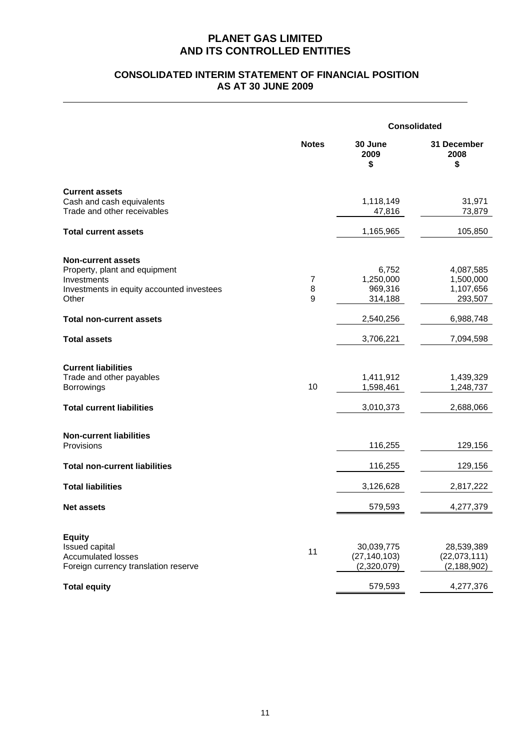### **CONSOLIDATED INTERIM STATEMENT OF FINANCIAL POSITION AS AT 30 JUNE 2009**

|                                                                                                                                 |                            | <b>Consolidated</b>                         |                                                |  |
|---------------------------------------------------------------------------------------------------------------------------------|----------------------------|---------------------------------------------|------------------------------------------------|--|
|                                                                                                                                 | <b>Notes</b>               | 30 June<br>2009<br>\$                       | 31 December<br>2008<br>\$                      |  |
| <b>Current assets</b><br>Cash and cash equivalents<br>Trade and other receivables                                               |                            | 1,118,149<br>47,816                         | 31,971<br>73,879                               |  |
| <b>Total current assets</b>                                                                                                     |                            | 1,165,965                                   | 105,850                                        |  |
| <b>Non-current assets</b><br>Property, plant and equipment<br>Investments<br>Investments in equity accounted investees<br>Other | $\boldsymbol{7}$<br>8<br>9 | 6,752<br>1,250,000<br>969,316<br>314,188    | 4,087,585<br>1,500,000<br>1,107,656<br>293,507 |  |
| <b>Total non-current assets</b>                                                                                                 |                            | 2,540,256                                   | 6,988,748                                      |  |
| <b>Total assets</b>                                                                                                             |                            | 3,706,221                                   | 7,094,598                                      |  |
| <b>Current liabilities</b><br>Trade and other payables<br>Borrowings<br><b>Total current liabilities</b>                        | 10                         | 1,411,912<br>1,598,461<br>3,010,373         | 1,439,329<br>1,248,737<br>2,688,066            |  |
| <b>Non-current liabilities</b><br>Provisions                                                                                    |                            | 116,255                                     | 129,156                                        |  |
| <b>Total non-current liabilities</b>                                                                                            |                            | 116,255                                     | 129,156                                        |  |
| <b>Total liabilities</b>                                                                                                        |                            | 3,126,628                                   | 2,817,222                                      |  |
| <b>Net assets</b>                                                                                                               |                            | 579,593                                     | 4,277,379                                      |  |
| <b>Equity</b><br>Issued capital<br><b>Accumulated losses</b><br>Foreign currency translation reserve                            | 11                         | 30,039,775<br>(27, 140, 103)<br>(2,320,079) | 28,539,389<br>(22,073,111)<br>(2, 188, 902)    |  |
| <b>Total equity</b>                                                                                                             |                            | 579,593                                     | 4,277,376                                      |  |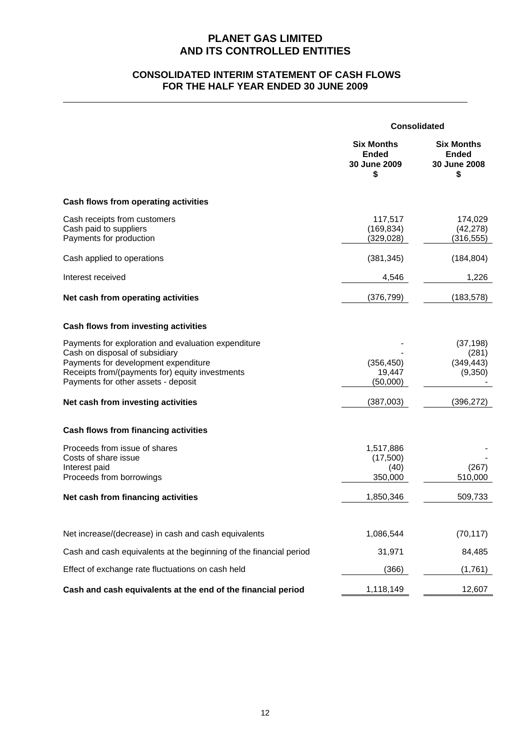### **CONSOLIDATED INTERIM STATEMENT OF CASH FLOWS FOR THE HALF YEAR ENDED 30 JUNE 2009**

|                                                                                                                                                                                                                                                               | <b>Consolidated</b>                                     |                                                           |
|---------------------------------------------------------------------------------------------------------------------------------------------------------------------------------------------------------------------------------------------------------------|---------------------------------------------------------|-----------------------------------------------------------|
|                                                                                                                                                                                                                                                               | <b>Six Months</b><br><b>Ended</b><br>30 June 2009<br>\$ | <b>Six Months</b><br><b>Ended</b><br>30 June 2008<br>\$   |
| Cash flows from operating activities                                                                                                                                                                                                                          |                                                         |                                                           |
| Cash receipts from customers<br>Cash paid to suppliers<br>Payments for production                                                                                                                                                                             | 117,517<br>(169, 834)<br>(329, 028)                     | 174,029<br>(42, 278)<br>(316, 555)                        |
| Cash applied to operations                                                                                                                                                                                                                                    | (381, 345)                                              | (184, 804)                                                |
| Interest received                                                                                                                                                                                                                                             | 4,546                                                   | 1,226                                                     |
| Net cash from operating activities                                                                                                                                                                                                                            | (376, 799)                                              | (183, 578)                                                |
| Cash flows from investing activities                                                                                                                                                                                                                          |                                                         |                                                           |
| Payments for exploration and evaluation expenditure<br>Cash on disposal of subsidiary<br>Payments for development expenditure<br>Receipts from/(payments for) equity investments<br>Payments for other assets - deposit<br>Net cash from investing activities | (356, 450)<br>19,447<br>(50,000)<br>(387,003)           | (37, 198)<br>(281)<br>(349, 443)<br>(9,350)<br>(396, 272) |
| Cash flows from financing activities                                                                                                                                                                                                                          |                                                         |                                                           |
| Proceeds from issue of shares<br>Costs of share issue<br>Interest paid<br>Proceeds from borrowings                                                                                                                                                            | 1,517,886<br>(17,500)<br>(40)<br>350,000                | (267)<br>510,000                                          |
| Net cash from financing activities                                                                                                                                                                                                                            | 1,850,346                                               | 509,733                                                   |
| Net increase/(decrease) in cash and cash equivalents                                                                                                                                                                                                          | 1,086,544                                               | (70, 117)                                                 |
| Cash and cash equivalents at the beginning of the financial period                                                                                                                                                                                            | 31,971                                                  | 84,485                                                    |
| Effect of exchange rate fluctuations on cash held                                                                                                                                                                                                             | (366)                                                   | (1,761)                                                   |
| Cash and cash equivalents at the end of the financial period                                                                                                                                                                                                  | 1,118,149                                               | 12,607                                                    |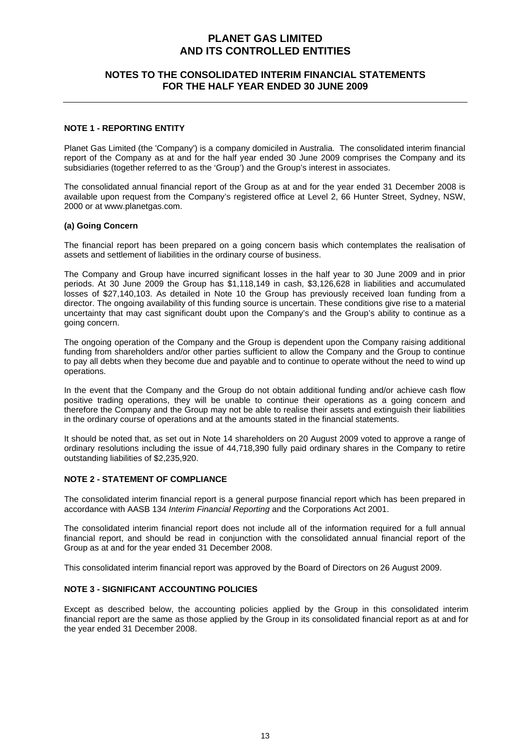### **NOTES TO THE CONSOLIDATED INTERIM FINANCIAL STATEMENTS FOR THE HALF YEAR ENDED 30 JUNE 2009**

#### **NOTE 1 - REPORTING ENTITY**

Planet Gas Limited (the 'Company') is a company domiciled in Australia. The consolidated interim financial report of the Company as at and for the half year ended 30 June 2009 comprises the Company and its subsidiaries (together referred to as the 'Group') and the Group's interest in associates.

The consolidated annual financial report of the Group as at and for the year ended 31 December 2008 is available upon request from the Company's registered office at Level 2, 66 Hunter Street, Sydney, NSW, 2000 or at www.planetgas.com.

#### **(a) Going Concern**

The financial report has been prepared on a going concern basis which contemplates the realisation of assets and settlement of liabilities in the ordinary course of business.

The Company and Group have incurred significant losses in the half year to 30 June 2009 and in prior periods. At 30 June 2009 the Group has \$1,118,149 in cash, \$3,126,628 in liabilities and accumulated losses of \$27,140,103. As detailed in Note 10 the Group has previously received loan funding from a director. The ongoing availability of this funding source is uncertain. These conditions give rise to a material uncertainty that may cast significant doubt upon the Company's and the Group's ability to continue as a going concern.

The ongoing operation of the Company and the Group is dependent upon the Company raising additional funding from shareholders and/or other parties sufficient to allow the Company and the Group to continue to pay all debts when they become due and payable and to continue to operate without the need to wind up operations.

In the event that the Company and the Group do not obtain additional funding and/or achieve cash flow positive trading operations, they will be unable to continue their operations as a going concern and therefore the Company and the Group may not be able to realise their assets and extinguish their liabilities in the ordinary course of operations and at the amounts stated in the financial statements.

It should be noted that, as set out in Note 14 shareholders on 20 August 2009 voted to approve a range of ordinary resolutions including the issue of 44,718,390 fully paid ordinary shares in the Company to retire outstanding liabilities of \$2,235,920.

### **NOTE 2 - STATEMENT OF COMPLIANCE**

The consolidated interim financial report is a general purpose financial report which has been prepared in accordance with AASB 134 *Interim Financial Reporting* and the Corporations Act 2001.

The consolidated interim financial report does not include all of the information required for a full annual financial report, and should be read in conjunction with the consolidated annual financial report of the Group as at and for the year ended 31 December 2008.

This consolidated interim financial report was approved by the Board of Directors on 26 August 2009.

### **NOTE 3 - SIGNIFICANT ACCOUNTING POLICIES**

Except as described below, the accounting policies applied by the Group in this consolidated interim financial report are the same as those applied by the Group in its consolidated financial report as at and for the year ended 31 December 2008.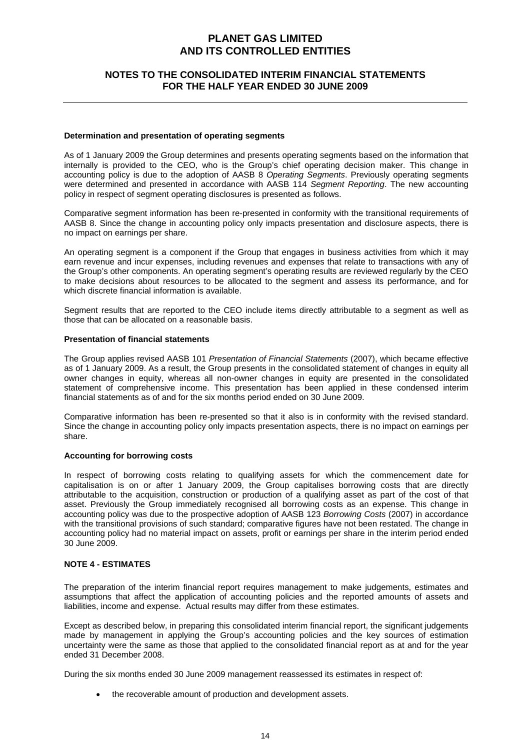### **NOTES TO THE CONSOLIDATED INTERIM FINANCIAL STATEMENTS FOR THE HALF YEAR ENDED 30 JUNE 2009**

#### **Determination and presentation of operating segments**

As of 1 January 2009 the Group determines and presents operating segments based on the information that internally is provided to the CEO, who is the Group's chief operating decision maker. This change in accounting policy is due to the adoption of AASB 8 *Operating Segments*. Previously operating segments were determined and presented in accordance with AASB 114 *Segment Reporting*. The new accounting policy in respect of segment operating disclosures is presented as follows.

Comparative segment information has been re-presented in conformity with the transitional requirements of AASB 8. Since the change in accounting policy only impacts presentation and disclosure aspects, there is no impact on earnings per share.

An operating segment is a component if the Group that engages in business activities from which it may earn revenue and incur expenses, including revenues and expenses that relate to transactions with any of the Group's other components. An operating segment's operating results are reviewed regularly by the CEO to make decisions about resources to be allocated to the segment and assess its performance, and for which discrete financial information is available.

Segment results that are reported to the CEO include items directly attributable to a segment as well as those that can be allocated on a reasonable basis.

#### **Presentation of financial statements**

The Group applies revised AASB 101 *Presentation of Financial Statements* (2007), which became effective as of 1 January 2009. As a result, the Group presents in the consolidated statement of changes in equity all owner changes in equity, whereas all non-owner changes in equity are presented in the consolidated statement of comprehensive income. This presentation has been applied in these condensed interim financial statements as of and for the six months period ended on 30 June 2009.

Comparative information has been re-presented so that it also is in conformity with the revised standard. Since the change in accounting policy only impacts presentation aspects, there is no impact on earnings per share.

### **Accounting for borrowing costs**

In respect of borrowing costs relating to qualifying assets for which the commencement date for capitalisation is on or after 1 January 2009, the Group capitalises borrowing costs that are directly attributable to the acquisition, construction or production of a qualifying asset as part of the cost of that asset. Previously the Group immediately recognised all borrowing costs as an expense. This change in accounting policy was due to the prospective adoption of AASB 123 *Borrowing Costs* (2007) in accordance with the transitional provisions of such standard; comparative figures have not been restated. The change in accounting policy had no material impact on assets, profit or earnings per share in the interim period ended 30 June 2009.

#### **NOTE 4 - ESTIMATES**

The preparation of the interim financial report requires management to make judgements, estimates and assumptions that affect the application of accounting policies and the reported amounts of assets and liabilities, income and expense. Actual results may differ from these estimates.

Except as described below, in preparing this consolidated interim financial report, the significant judgements made by management in applying the Group's accounting policies and the key sources of estimation uncertainty were the same as those that applied to the consolidated financial report as at and for the year ended 31 December 2008.

During the six months ended 30 June 2009 management reassessed its estimates in respect of:

the recoverable amount of production and development assets.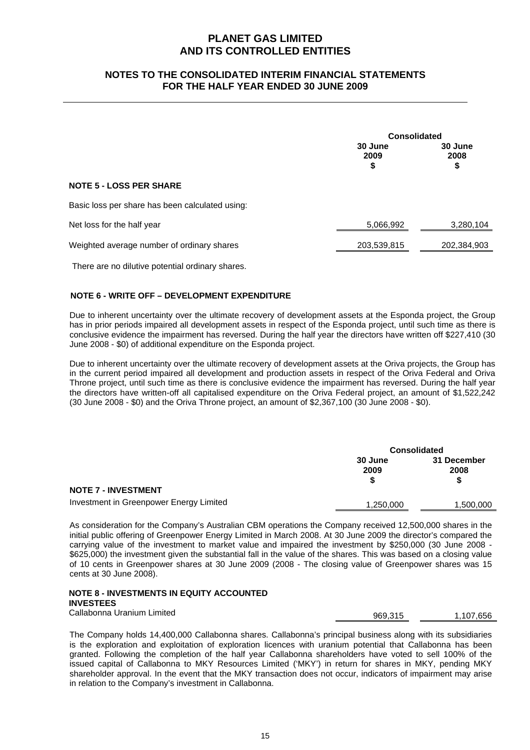### **NOTES TO THE CONSOLIDATED INTERIM FINANCIAL STATEMENTS FOR THE HALF YEAR ENDED 30 JUNE 2009**

|                                                 |                       | <b>Consolidated</b>   |  |
|-------------------------------------------------|-----------------------|-----------------------|--|
|                                                 | 30 June<br>2009<br>\$ | 30 June<br>2008<br>\$ |  |
| <b>NOTE 5 - LOSS PER SHARE</b>                  |                       |                       |  |
| Basic loss per share has been calculated using: |                       |                       |  |
| Net loss for the half year                      | 5,066,992             | 3,280,104             |  |
| Weighted average number of ordinary shares      | 203,539,815           | 202,384,903           |  |

There are no dilutive potential ordinary shares.

### **NOTE 6 - WRITE OFF – DEVELOPMENT EXPENDITURE**

Due to inherent uncertainty over the ultimate recovery of development assets at the Esponda project, the Group has in prior periods impaired all development assets in respect of the Esponda project, until such time as there is conclusive evidence the impairment has reversed. During the half year the directors have written off \$227,410 (30 June 2008 - \$0) of additional expenditure on the Esponda project.

Due to inherent uncertainty over the ultimate recovery of development assets at the Oriva projects, the Group has in the current period impaired all development and production assets in respect of the Oriva Federal and Oriva Throne project, until such time as there is conclusive evidence the impairment has reversed. During the half year the directors have written-off all capitalised expenditure on the Oriva Federal project, an amount of \$1,522,242 (30 June 2008 - \$0) and the Oriva Throne project, an amount of \$2,367,100 (30 June 2008 - \$0).

|                                         |                 | <b>Consolidated</b>      |  |
|-----------------------------------------|-----------------|--------------------------|--|
|                                         | 30 June<br>2009 | 31 December<br>2008<br>S |  |
| <b>NOTE 7 - INVESTMENT</b>              |                 |                          |  |
| Investment in Greenpower Energy Limited | 1,250,000       | 1,500,000                |  |

As consideration for the Company's Australian CBM operations the Company received 12,500,000 shares in the initial public offering of Greenpower Energy Limited in March 2008. At 30 June 2009 the director's compared the carrying value of the investment to market value and impaired the investment by \$250,000 (30 June 2008 - \$625,000) the investment given the substantial fall in the value of the shares. This was based on a closing value of 10 cents in Greenpower shares at 30 June 2009 (2008 - The closing value of Greenpower shares was 15 cents at 30 June 2008).

### **NOTE 8 - INVESTMENTS IN EQUITY ACCOUNTED INVESTEES**

Callabonna Uranium Limited **1,107,656** 1,107,656

The Company holds 14,400,000 Callabonna shares. Callabonna's principal business along with its subsidiaries is the exploration and exploitation of exploration licences with uranium potential that Callabonna has been granted. Following the completion of the half year Callabonna shareholders have voted to sell 100% of the issued capital of Callabonna to MKY Resources Limited ('MKY') in return for shares in MKY, pending MKY shareholder approval. In the event that the MKY transaction does not occur, indicators of impairment may arise in relation to the Company's investment in Callabonna.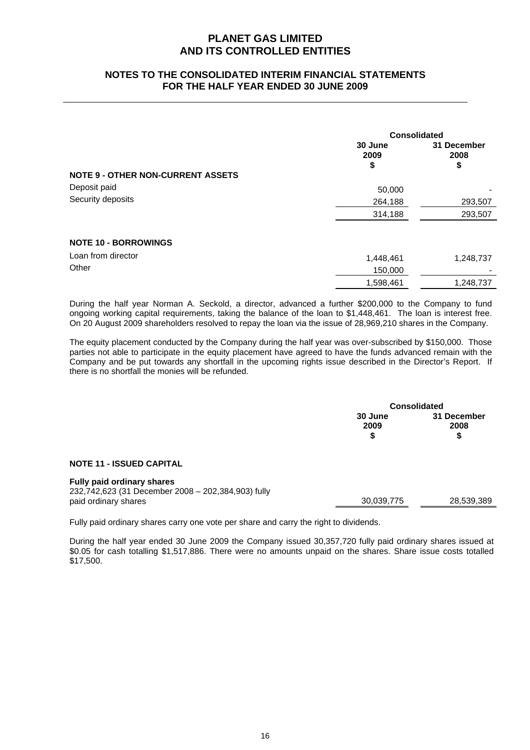### **NOTES TO THE CONSOLIDATED INTERIM FINANCIAL STATEMENTS FOR THE HALF YEAR ENDED 30 JUNE 2009**

|                                          | <b>Consolidated</b> |                     |
|------------------------------------------|---------------------|---------------------|
|                                          | 30 June<br>2009     | 31 December<br>2008 |
|                                          | \$                  | \$                  |
| <b>NOTE 9 - OTHER NON-CURRENT ASSETS</b> |                     |                     |
| Deposit paid                             | 50,000              |                     |
| Security deposits                        | 264,188             | 293,507             |
|                                          | 314,188             | 293,507             |
| <b>NOTE 10 - BORROWINGS</b>              |                     |                     |
| Loan from director                       | 1,448,461           | 1,248,737           |
| Other                                    | 150,000             |                     |
|                                          | 1,598,461           | 1,248,737           |

During the half year Norman A. Seckold, a director, advanced a further \$200,000 to the Company to fund ongoing working capital requirements, taking the balance of the loan to \$1,448,461. The loan is interest free. On 20 August 2009 shareholders resolved to repay the loan via the issue of 28,969,210 shares in the Company.

The equity placement conducted by the Company during the half year was over-subscribed by \$150,000. Those parties not able to participate in the equity placement have agreed to have the funds advanced remain with the Company and be put towards any shortfall in the upcoming rights issue described in the Director's Report. If there is no shortfall the monies will be refunded.

|                                                                                                                 | <b>Consolidated</b>   |                           |
|-----------------------------------------------------------------------------------------------------------------|-----------------------|---------------------------|
|                                                                                                                 | 30 June<br>2009<br>\$ | 31 December<br>2008<br>\$ |
| <b>NOTE 11 - ISSUED CAPITAL</b>                                                                                 |                       |                           |
| <b>Fully paid ordinary shares</b><br>232,742,623 (31 December 2008 - 202,384,903) fully<br>paid ordinary shares | 30,039,775            | 28,539,389                |

Fully paid ordinary shares carry one vote per share and carry the right to dividends.

During the half year ended 30 June 2009 the Company issued 30,357,720 fully paid ordinary shares issued at \$0.05 for cash totalling \$1,517,886. There were no amounts unpaid on the shares. Share issue costs totalled \$17,500.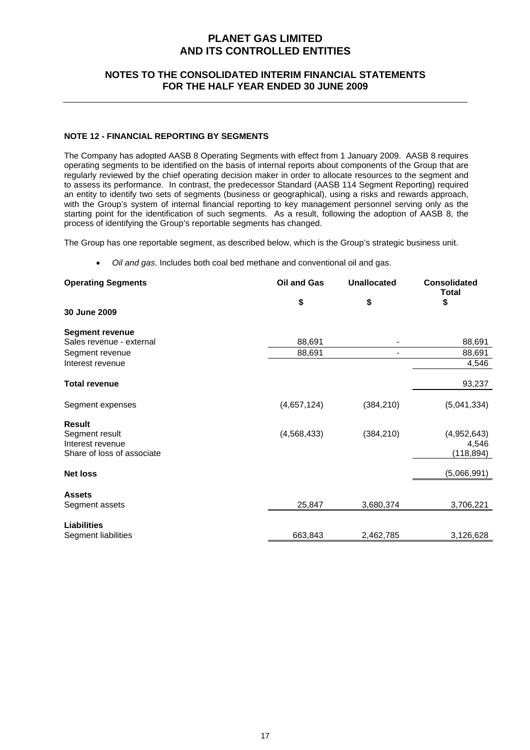### **NOTES TO THE CONSOLIDATED INTERIM FINANCIAL STATEMENTS FOR THE HALF YEAR ENDED 30 JUNE 2009**

### **NOTE 12 - FINANCIAL REPORTING BY SEGMENTS**

The Company has adopted AASB 8 Operating Segments with effect from 1 January 2009. AASB 8 requires operating segments to be identified on the basis of internal reports about components of the Group that are regularly reviewed by the chief operating decision maker in order to allocate resources to the segment and to assess its performance. In contrast, the predecessor Standard (AASB 114 Segment Reporting) required an entity to identify two sets of segments (business or geographical), using a risks and rewards approach, with the Group's system of internal financial reporting to key management personnel serving only as the starting point for the identification of such segments. As a result, following the adoption of AASB 8, the process of identifying the Group's reportable segments has changed.

The Group has one reportable segment, as described below, which is the Group's strategic business unit.

• *Oil and gas*. Includes both coal bed methane and conventional oil and gas.

| Oil and Gas   | <b>Unallocated</b> | <b>Consolidated</b><br><b>Total</b> |
|---------------|--------------------|-------------------------------------|
| \$            | \$                 | \$                                  |
|               |                    |                                     |
|               |                    |                                     |
| 88,691        |                    | 88,691                              |
| 88,691        | $\blacksquare$     | 88,691                              |
|               |                    | 4,546                               |
|               |                    | 93,237                              |
| (4,657,124)   | (384, 210)         | (5,041,334)                         |
|               |                    |                                     |
| (4, 568, 433) | (384, 210)         | (4,952,643)                         |
|               |                    | 4,546                               |
|               |                    | (118, 894)                          |
|               |                    | (5,066,991)                         |
|               |                    |                                     |
|               |                    | 3,706,221                           |
|               |                    |                                     |
|               |                    |                                     |
| 663,843       | 2,462,785          | 3,126,628                           |
|               | 25,847             | 3,680,374                           |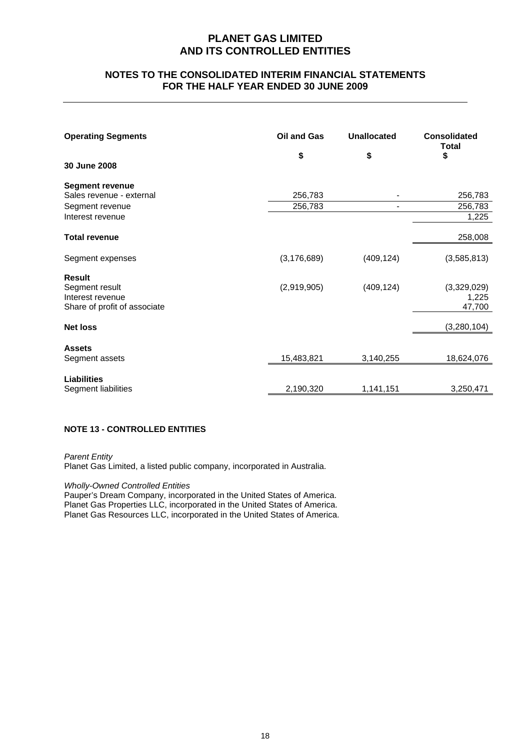### **NOTES TO THE CONSOLIDATED INTERIM FINANCIAL STATEMENTS FOR THE HALF YEAR ENDED 30 JUNE 2009**

| <b>Operating Segments</b><br>30 June 2008                                                 | Oil and Gas<br>\$  | <b>Unallocated</b><br>\$ | <b>Consolidated</b><br>Total<br>\$ |
|-------------------------------------------------------------------------------------------|--------------------|--------------------------|------------------------------------|
| <b>Segment revenue</b><br>Sales revenue - external<br>Segment revenue<br>Interest revenue | 256,783<br>256,783 | $\blacksquare$           | 256,783<br>256,783<br>1,225        |
| <b>Total revenue</b>                                                                      |                    |                          | 258,008                            |
| Segment expenses                                                                          | (3, 176, 689)      | (409, 124)               | (3,585,813)                        |
| <b>Result</b><br>Segment result<br>Interest revenue<br>Share of profit of associate       | (2,919,905)        | (409, 124)               | (3,329,029)<br>1,225<br>47,700     |
| <b>Net loss</b>                                                                           |                    |                          | (3,280,104)                        |
| <b>Assets</b><br>Segment assets                                                           | 15,483,821         | 3,140,255                | 18,624,076                         |
| <b>Liabilities</b><br>Segment liabilities                                                 | 2,190,320          | 1,141,151                | 3,250,471                          |

### **NOTE 13 - CONTROLLED ENTITIES**

*Parent Entity* 

Planet Gas Limited, a listed public company, incorporated in Australia.

*Wholly-Owned Controlled Entities* 

Pauper's Dream Company, incorporated in the United States of America. Planet Gas Properties LLC, incorporated in the United States of America. Planet Gas Resources LLC, incorporated in the United States of America.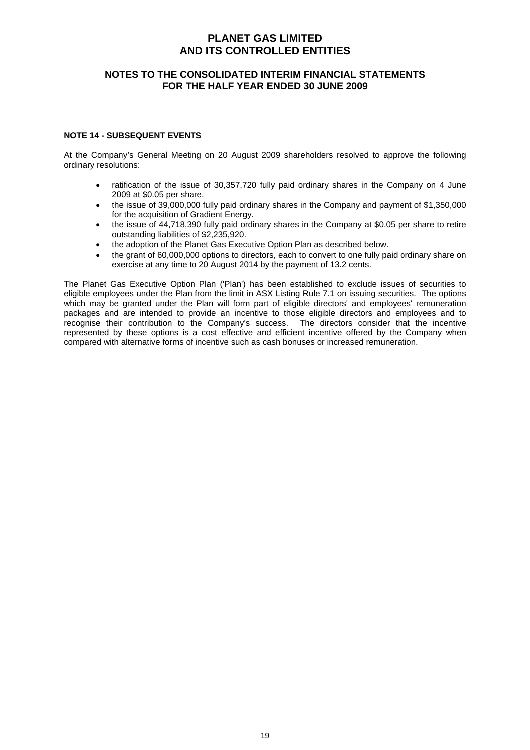### **NOTES TO THE CONSOLIDATED INTERIM FINANCIAL STATEMENTS FOR THE HALF YEAR ENDED 30 JUNE 2009**

#### **NOTE 14 - SUBSEQUENT EVENTS**

At the Company's General Meeting on 20 August 2009 shareholders resolved to approve the following ordinary resolutions:

- ratification of the issue of 30,357,720 fully paid ordinary shares in the Company on 4 June 2009 at \$0.05 per share.
- the issue of 39,000,000 fully paid ordinary shares in the Company and payment of \$1,350,000 for the acquisition of Gradient Energy.
- the issue of 44,718,390 fully paid ordinary shares in the Company at \$0.05 per share to retire outstanding liabilities of \$2,235,920.
- the adoption of the Planet Gas Executive Option Plan as described below.
- the grant of 60,000,000 options to directors, each to convert to one fully paid ordinary share on exercise at any time to 20 August 2014 by the payment of 13.2 cents.

The Planet Gas Executive Option Plan ('Plan') has been established to exclude issues of securities to eligible employees under the Plan from the limit in ASX Listing Rule 7.1 on issuing securities. The options which may be granted under the Plan will form part of eligible directors' and employees' remuneration packages and are intended to provide an incentive to those eligible directors and employees and to recognise their contribution to the Company's success. The directors consider that the incentive represented by these options is a cost effective and efficient incentive offered by the Company when compared with alternative forms of incentive such as cash bonuses or increased remuneration.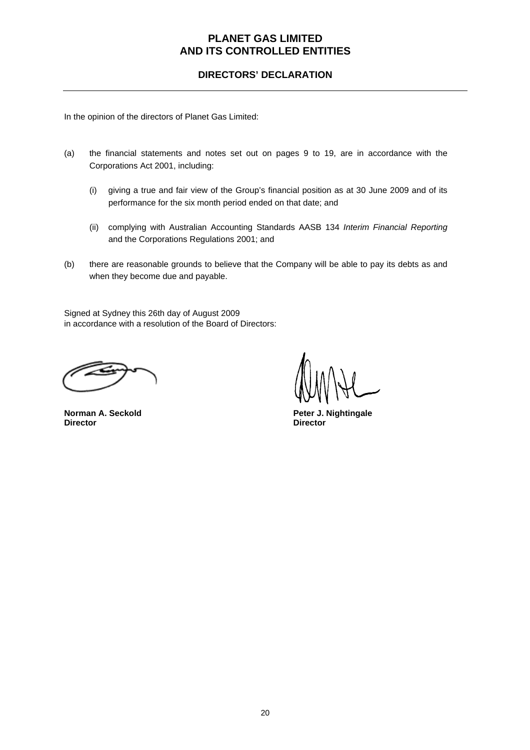### **DIRECTORS' DECLARATION**

In the opinion of the directors of Planet Gas Limited:

- (a) the financial statements and notes set out on pages 9 to 19, are in accordance with the Corporations Act 2001, including:
	- (i) giving a true and fair view of the Group's financial position as at 30 June 2009 and of its performance for the six month period ended on that date; and
	- (ii) complying with Australian Accounting Standards AASB 134 *Interim Financial Reporting* and the Corporations Regulations 2001; and
- (b) there are reasonable grounds to believe that the Company will be able to pay its debts as and when they become due and payable.

Signed at Sydney this 26th day of August 2009 in accordance with a resolution of the Board of Directors:

**Director Director** 

**Norman A. Seckold Peter J. Nightingale**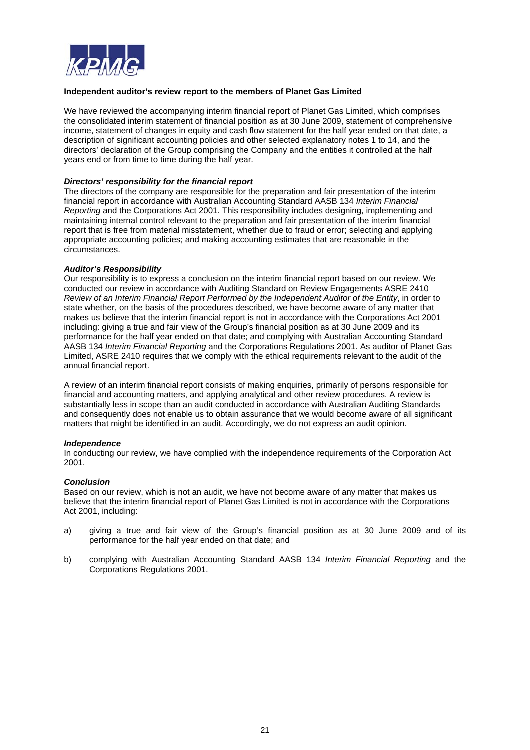

#### **Independent auditor's review report to the members of Planet Gas Limited**

We have reviewed the accompanying interim financial report of Planet Gas Limited, which comprises the consolidated interim statement of financial position as at 30 June 2009, statement of comprehensive income, statement of changes in equity and cash flow statement for the half year ended on that date, a description of significant accounting policies and other selected explanatory notes 1 to 14, and the directors' declaration of the Group comprising the Company and the entities it controlled at the half years end or from time to time during the half year.

#### *Directors' responsibility for the financial report*

The directors of the company are responsible for the preparation and fair presentation of the interim financial report in accordance with Australian Accounting Standard AASB 134 *Interim Financial Reporting* and the Corporations Act 2001. This responsibility includes designing, implementing and maintaining internal control relevant to the preparation and fair presentation of the interim financial report that is free from material misstatement, whether due to fraud or error; selecting and applying appropriate accounting policies; and making accounting estimates that are reasonable in the circumstances.

#### *Auditor's Responsibility*

Our responsibility is to express a conclusion on the interim financial report based on our review. We conducted our review in accordance with Auditing Standard on Review Engagements ASRE 2410 *Review of an Interim Financial Report Performed by the Independent Auditor of the Entity*, in order to state whether, on the basis of the procedures described, we have become aware of any matter that makes us believe that the interim financial report is not in accordance with the Corporations Act 2001 including: giving a true and fair view of the Group's financial position as at 30 June 2009 and its performance for the half year ended on that date; and complying with Australian Accounting Standard AASB 134 *Interim Financial Reporting* and the Corporations Regulations 2001. As auditor of Planet Gas Limited, ASRE 2410 requires that we comply with the ethical requirements relevant to the audit of the annual financial report.

A review of an interim financial report consists of making enquiries, primarily of persons responsible for financial and accounting matters, and applying analytical and other review procedures. A review is substantially less in scope than an audit conducted in accordance with Australian Auditing Standards and consequently does not enable us to obtain assurance that we would become aware of all significant matters that might be identified in an audit. Accordingly, we do not express an audit opinion.

#### *Independence*

In conducting our review, we have complied with the independence requirements of the Corporation Act 2001.

### *Conclusion*

Based on our review, which is not an audit, we have not become aware of any matter that makes us believe that the interim financial report of Planet Gas Limited is not in accordance with the Corporations Act 2001, including:

- a) giving a true and fair view of the Group's financial position as at 30 June 2009 and of its performance for the half year ended on that date; and
- b) complying with Australian Accounting Standard AASB 134 *Interim Financial Reporting* and the Corporations Regulations 2001.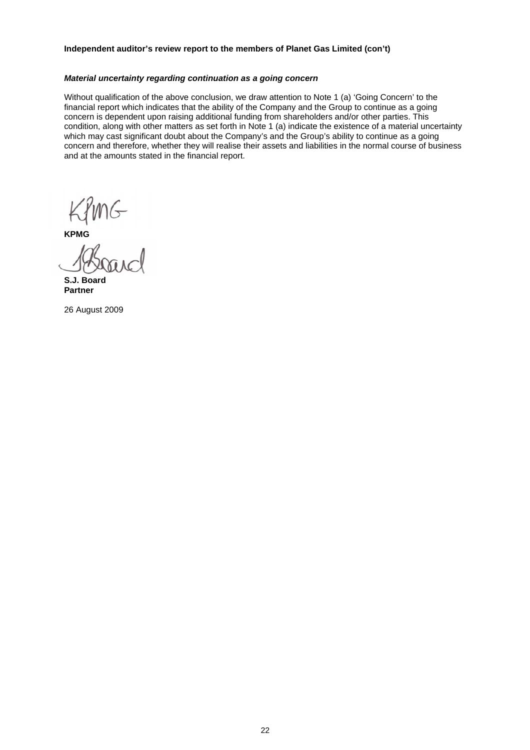#### **Independent auditor's review report to the members of Planet Gas Limited (con't)**

#### *Material uncertainty regarding continuation as a going concern*

Without qualification of the above conclusion, we draw attention to Note 1 (a) 'Going Concern' to the financial report which indicates that the ability of the Company and the Group to continue as a going concern is dependent upon raising additional funding from shareholders and/or other parties. This condition, along with other matters as set forth in Note 1 (a) indicate the existence of a material uncertainty which may cast significant doubt about the Company's and the Group's ability to continue as a going concern and therefore, whether they will realise their assets and liabilities in the normal course of business and at the amounts stated in the financial report.

KPMG<br>KPMG<br>*K*ASograf

**S.J. Board Partner** 

26 August 2009